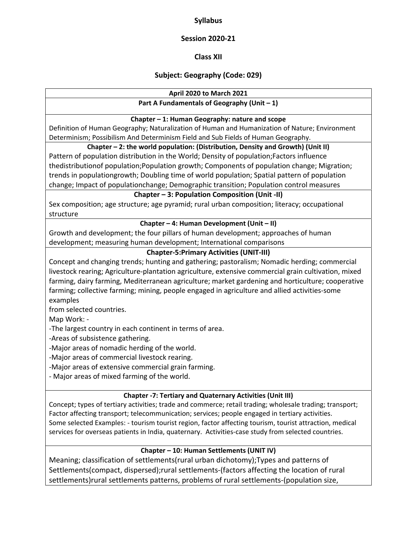#### **Syllabus**

#### **Session 2020‐21**

**Class XII** 

## **Subject: Geography (Code: 029)**

#### **April 2020 to March 2021**

# **Part A Fundamentals of Geography (Unit – 1)**

#### **Chapter – 1: Human Geography: nature and scope**

Definition of Human Geography; Naturalization of Human and Humanization of Nature; Environment Determinism; Possibilism And Determinism Field and Sub Fields of Human Geography.

#### **Chapter – 2: the world population: (Distribution, Density and Growth) (Unit II)**

Pattern of population distribution in the World; Density of population;Factors influence thedistributionof population;Population growth; Components of population change; Migration; trends in populationgrowth; Doubling time of world population; Spatial pattern of population change; Impact of populationchange; Demographic transition; Population control measures

#### **Chapter – 3: Population Composition (Unit ‐II)**

Sex composition; age structure; age pyramid; rural urban composition; literacy; occupational structure

#### **Chapter – 4: Human Development (Unit – II)**

Growth and development; the four pillars of human development; approaches of human development; measuring human development; International comparisons

## **Chapter‐5:Primary Activities (UNIT‐III)**

Concept and changing trends; hunting and gathering; pastoralism; Nomadic herding; commercial livestock rearing; Agriculture‐plantation agriculture, extensive commercial grain cultivation, mixed farming, dairy farming, Mediterranean agriculture; market gardening and horticulture; cooperative farming; collective farming; mining, people engaged in agriculture and allied activities-some examples

from selected countries.

Map Work: ‐

‐The largest country in each continent in terms of area.

‐Areas of subsistence gathering.

‐Major areas of nomadic herding of the world.

‐Major areas of commercial livestock rearing.

‐Major areas of extensive commercial grain farming.

‐ Major areas of mixed farming of the world.

## **Chapter ‐7: Tertiary and Quaternary Activities (Unit III)**

Concept; types of tertiary activities; trade and commerce; retail trading; wholesale trading; transport; Factor affecting transport; telecommunication; services; people engaged in tertiary activities. Some selected Examples: ‐ tourism tourist region, factor affecting tourism, tourist attraction, medical services for overseas patients in India, quaternary. Activities-case study from selected countries.

## **Chapter – 10: Human Settlements (UNIT IV)**

Meaning; classification of settlements(rural urban dichotomy);Types and patterns of Settlements(compact, dispersed);rural settlements‐(factors affecting the location of rural settlements)rural settlements patterns, problems of rural settlements‐(population size,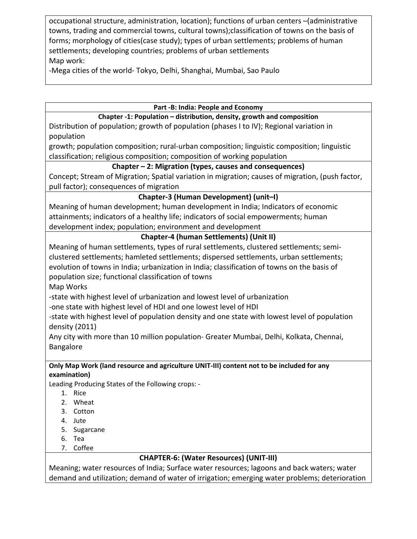occupational structure, administration, location); functions of urban centers –(administrative towns, trading and commercial towns, cultural towns);classification of towns on the basis of forms; morphology of cities(case study); types of urban settlements; problems of human settlements; developing countries; problems of urban settlements Map work:

‐Mega cities of the world‐ Tokyo, Delhi, Shanghai, Mumbai, Sao Paulo

#### **Part ‐B: India: People and Economy**

## **Chapter ‐1: Population – distribution, density, growth and composition**

Distribution of population; growth of population (phases I to IV); Regional variation in population

growth; population composition; rural‐urban composition; linguistic composition; linguistic classification; religious composition; composition of working population

## **Chapter – 2: Migration (types, causes and consequences)**

Concept; Stream of Migration; Spatial variation in migration; causes of migration, (push factor, pull factor); consequences of migration

# **Chapter‐3 (Human Development) (unit–I)**

Meaning of human development; human development in India; Indicators of economic attainments; indicators of a healthy life; indicators of social empowerments; human development index; population; environment and development

# **Chapter‐4 (human Settlements) (Unit II)**

Meaning of human settlements, types of rural settlements, clustered settlements; semi‐ clustered settlements; hamleted settlements; dispersed settlements, urban settlements; evolution of towns in India; urbanization in India; classification of towns on the basis of population size; functional classification of towns

Map Works

‐state with highest level of urbanization and lowest level of urbanization

‐one state with highest level of HDI and one lowest level of HDI

‐state with highest level of population density and one state with lowest level of population density (2011)

Any city with more than 10 million population‐ Greater Mumbai, Delhi, Kolkata, Chennai, Bangalore

#### **Only Map Work (land resource and agriculture UNIT‐III) content not to be included for any examination)**

Leading Producing States of the Following crops: ‐

- 1. Rice
- 2. Wheat
- 3. Cotton
- 4. Jute
- 5. Sugarcane
- 6. Tea
- 7. Coffee

# **CHAPTER‐6: (Water Resources) (UNIT‐III)**

Meaning; water resources of India; Surface water resources; lagoons and back waters; water demand and utilization; demand of water of irrigation; emerging water problems; deterioration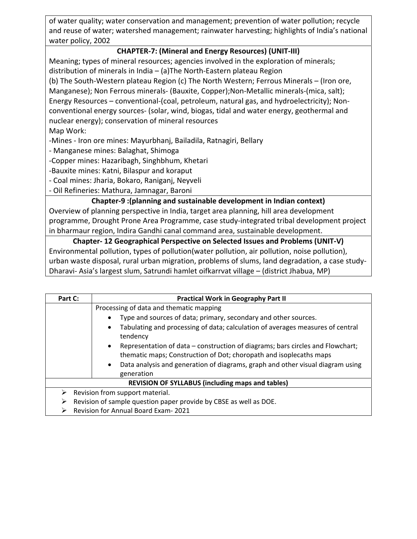of water quality; water conservation and management; prevention of water pollution; recycle and reuse of water; watershed management; rainwater harvesting; highlights of India's national water policy, 2002

# **CHAPTER‐7: (Mineral and Energy Resources) (UNIT‐III)**

Meaning; types of mineral resources; agencies involved in the exploration of minerals; distribution of minerals in India – (a)The North‐Eastern plateau Region (b) The South‐Western plateau Region (c) The North Western; Ferrous Minerals – (Iron ore, Manganese); Non Ferrous minerals‐ (Bauxite, Copper);Non‐Metallic minerals‐(mica, salt); Energy Resources – conventional‐(coal, petroleum, natural gas, and hydroelectricity); Non‐ conventional energy sources‐ (solar, wind, biogas, tidal and water energy, geothermal and nuclear energy); conservation of mineral resources Map Work:

‐Mines ‐ Iron ore mines: Mayurbhanj, Bailadila, Ratnagiri, Bellary

‐ Manganese mines: Balaghat, Shimoga

‐Copper mines: Hazaribagh, Singhbhum, Khetari

‐Bauxite mines: Katni, Bilaspur and koraput

‐ Coal mines: Jharia, Bokaro, Raniganj, Neyveli

‐ Oil Refineries: Mathura, Jamnagar, Baroni

## **Chapter‐9 :(planning and sustainable development in Indian context)**

Overview of planning perspective in India, target area planning, hill area development programme, Drought Prone Area Programme, case study‐integrated tribal development project in bharmaur region, Indira Gandhi canal command area, sustainable development.

**Chapter‐ 12 Geographical Perspective on Selected Issues and Problems (UNIT‐V)** Environmental pollution, types of pollution(water pollution, air pollution, noise pollution), urban waste disposal, rural urban migration, problems of slums, land degradation, a case study‐ Dharavi‐ Asia's largest slum, Satrundi hamlet oifkarrvat village – (district Jhabua, MP)

| Part C:                                                                | <b>Practical Work in Geography Part II</b>                                                                                                                        |  |
|------------------------------------------------------------------------|-------------------------------------------------------------------------------------------------------------------------------------------------------------------|--|
| Processing of data and thematic mapping                                |                                                                                                                                                                   |  |
|                                                                        | Type and sources of data; primary, secondary and other sources.<br>$\bullet$                                                                                      |  |
|                                                                        | Tabulating and processing of data; calculation of averages measures of central<br>$\bullet$<br>tendency                                                           |  |
|                                                                        | Representation of data – construction of diagrams; bars circles and Flowchart;<br>$\bullet$<br>thematic maps; Construction of Dot; choropath and isoplecaths maps |  |
|                                                                        | Data analysis and generation of diagrams, graph and other visual diagram using<br>$\bullet$<br>generation                                                         |  |
| <b>REVISION OF SYLLABUS (including maps and tables)</b>                |                                                                                                                                                                   |  |
| Revision from support material.<br>⋗                                   |                                                                                                                                                                   |  |
| Revision of sample question paper provide by CBSE as well as DOE.<br>⋗ |                                                                                                                                                                   |  |
| <b>Revision for Annual Board Exam-2021</b>                             |                                                                                                                                                                   |  |